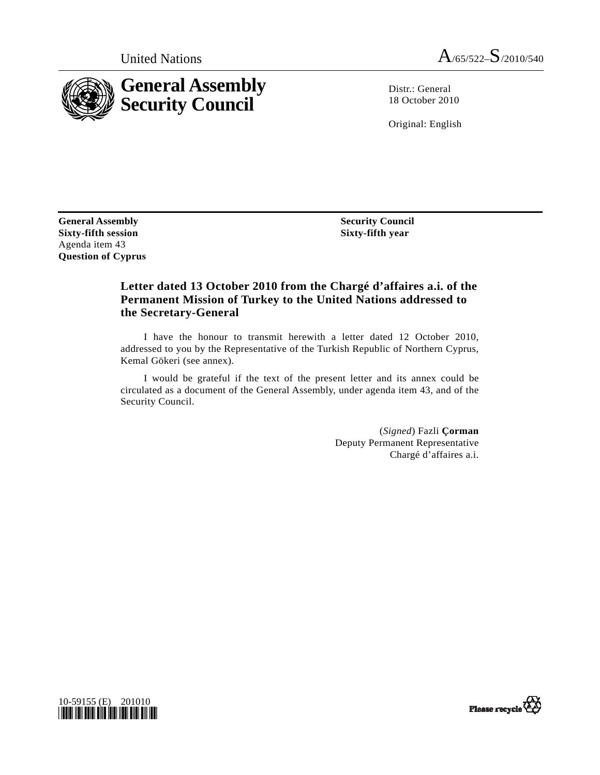



Distr.: General 18 October 2010

Original: English

**General Assembly Sixty-fifth session**  Agenda item 43 **Question of Cyprus** 

 **Security Council Sixty-fifth year** 

## **Letter dated 13 October 2010 from the Chargé d'affaires a.i. of the Permanent Mission of Turkey to the United Nations addressed to the Secretary-General**

 I have the honour to transmit herewith a letter dated 12 October 2010, addressed to you by the Representative of the Turkish Republic of Northern Cyprus, Kemal Gökeri (see annex).

 I would be grateful if the text of the present letter and its annex could be circulated as a document of the General Assembly, under agenda item 43, and of the Security Council.

> (*Signed*) Fazli **Çorman**  Deputy Permanent Representative Chargé d'affaires a.i.



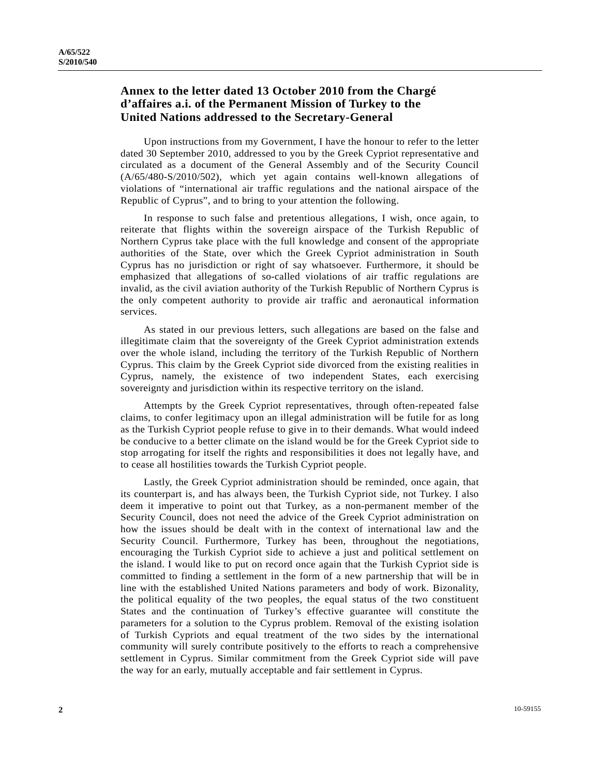## **Annex to the letter dated 13 October 2010 from the Chargé d'affaires a.i. of the Permanent Mission of Turkey to the United Nations addressed to the Secretary-General**

 Upon instructions from my Government, I have the honour to refer to the letter dated 30 September 2010, addressed to you by the Greek Cypriot representative and circulated as a document of the General Assembly and of the Security Council (A/65/480-S/2010/502), which yet again contains well-known allegations of violations of "international air traffic regulations and the national airspace of the Republic of Cyprus", and to bring to your attention the following.

 In response to such false and pretentious allegations, I wish, once again, to reiterate that flights within the sovereign airspace of the Turkish Republic of Northern Cyprus take place with the full knowledge and consent of the appropriate authorities of the State, over which the Greek Cypriot administration in South Cyprus has no jurisdiction or right of say whatsoever. Furthermore, it should be emphasized that allegations of so-called violations of air traffic regulations are invalid, as the civil aviation authority of the Turkish Republic of Northern Cyprus is the only competent authority to provide air traffic and aeronautical information services.

 As stated in our previous letters, such allegations are based on the false and illegitimate claim that the sovereignty of the Greek Cypriot administration extends over the whole island, including the territory of the Turkish Republic of Northern Cyprus. This claim by the Greek Cypriot side divorced from the existing realities in Cyprus, namely, the existence of two independent States, each exercising sovereignty and jurisdiction within its respective territory on the island.

 Attempts by the Greek Cypriot representatives, through often-repeated false claims, to confer legitimacy upon an illegal administration will be futile for as long as the Turkish Cypriot people refuse to give in to their demands. What would indeed be conducive to a better climate on the island would be for the Greek Cypriot side to stop arrogating for itself the rights and responsibilities it does not legally have, and to cease all hostilities towards the Turkish Cypriot people.

 Lastly, the Greek Cypriot administration should be reminded, once again, that its counterpart is, and has always been, the Turkish Cypriot side, not Turkey. I also deem it imperative to point out that Turkey, as a non-permanent member of the Security Council, does not need the advice of the Greek Cypriot administration on how the issues should be dealt with in the context of international law and the Security Council. Furthermore, Turkey has been, throughout the negotiations, encouraging the Turkish Cypriot side to achieve a just and political settlement on the island. I would like to put on record once again that the Turkish Cypriot side is committed to finding a settlement in the form of a new partnership that will be in line with the established United Nations parameters and body of work. Bizonality, the political equality of the two peoples, the equal status of the two constituent States and the continuation of Turkey's effective guarantee will constitute the parameters for a solution to the Cyprus problem. Removal of the existing isolation of Turkish Cypriots and equal treatment of the two sides by the international community will surely contribute positively to the efforts to reach a comprehensive settlement in Cyprus. Similar commitment from the Greek Cypriot side will pave the way for an early, mutually acceptable and fair settlement in Cyprus.